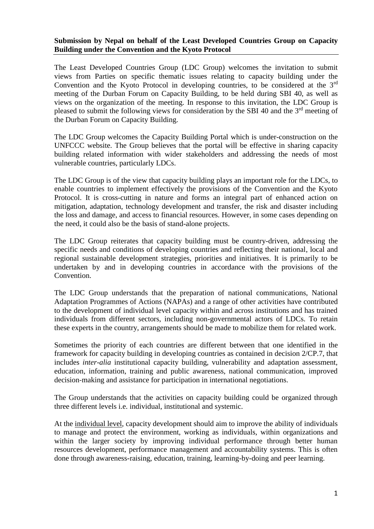## **Submission by Nepal on behalf of the Least Developed Countries Group on Capacity Building under the Convention and the Kyoto Protocol**

The Least Developed Countries Group (LDC Group) welcomes the invitation to submit views from Parties on specific thematic issues relating to capacity building under the Convention and the Kyoto Protocol in developing countries, to be considered at the 3rd meeting of the Durban Forum on Capacity Building, to be held during SBI 40, as well as views on the organization of the meeting. In response to this invitation, the LDC Group is pleased to submit the following views for consideration by the SBI 40 and the  $3<sup>rd</sup>$  meeting of the Durban Forum on Capacity Building.

The LDC Group welcomes the Capacity Building Portal which is under-construction on the UNFCCC website. The Group believes that the portal will be effective in sharing capacity building related information with wider stakeholders and addressing the needs of most vulnerable countries, particularly LDCs.

The LDC Group is of the view that capacity building plays an important role for the LDCs, to enable countries to implement effectively the provisions of the Convention and the Kyoto Protocol. It is cross-cutting in nature and forms an integral part of enhanced action on mitigation, adaptation, technology development and transfer, the risk and disaster including the loss and damage, and access to financial resources. However, in some cases depending on the need, it could also be the basis of stand-alone projects.

The LDC Group reiterates that capacity building must be country-driven, addressing the specific needs and conditions of developing countries and reflecting their national, local and regional sustainable development strategies, priorities and initiatives. It is primarily to be undertaken by and in developing countries in accordance with the provisions of the Convention.

The LDC Group understands that the preparation of national communications, National Adaptation Programmes of Actions (NAPAs) and a range of other activities have contributed to the development of individual level capacity within and across institutions and has trained individuals from different sectors, including non-governmental actors of LDCs. To retain these experts in the country, arrangements should be made to mobilize them for related work.

Sometimes the priority of each countries are different between that one identified in the framework for capacity building in developing countries as contained in decision 2/CP.7, that includes *inter-alia* institutional capacity building, vulnerability and adaptation assessment, education, information, training and public awareness, national communication, improved decision-making and assistance for participation in international negotiations.

The Group understands that the activities on capacity building could be organized through three different levels i.e. individual, institutional and systemic.

At the individual level, capacity development should aim to improve the ability of individuals to manage and protect the environment, working as individuals, within organizations and within the larger society by improving individual performance through better human resources development, performance management and accountability systems. This is often done through awareness-raising, education, training, learning-by-doing and peer learning.